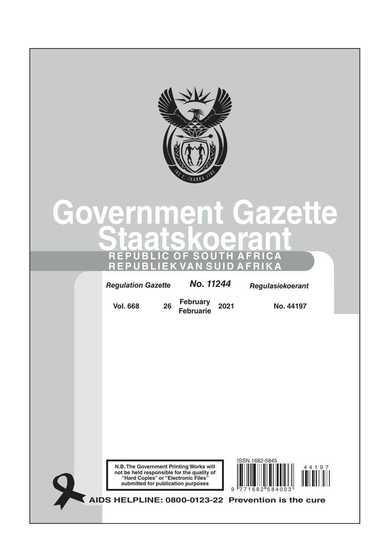

# **Government Gazette Staatskoerant REPUBLIC OF SOUTH AFRICA REPUBLIEK VAN SUID AFRIKA**

 $R$ egulation Gazette

*Regulation Gazette* **No. 10177** *Regulasiekoerant*

**Vol. 668 <sup>26</sup> February Februarie <sup>2021</sup> No. 44197**





**AIDS HELPLINE: 0800-0123-22 Prevention is the cure**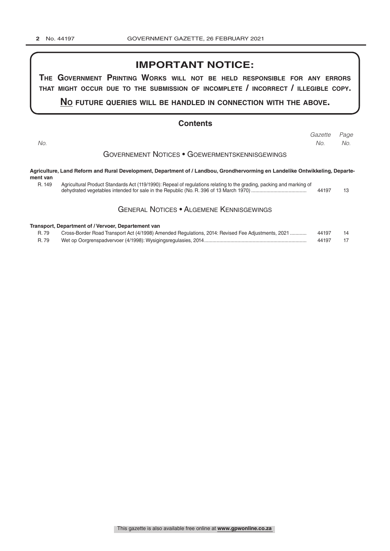# **IMPORTANT NOTICE:**

**The GovernmenT PrinTinG Works Will noT be held resPonsible for any errors ThaT miGhT occur due To The submission of incomPleTe / incorrecT / illeGible coPy.**

#### **no fuTure queries Will be handled in connecTion WiTh The above.**

#### **Contents**

|     | Gazette Page |  |
|-----|--------------|--|
| No. | No. No.      |  |

#### Governement [Notices • Goewermentskennisgewings](#page-12-0)

**[Agriculture, Land Reform and Rural Development, Department of / Landbou, Grondhervorming en Landelike Ontwikkeling, Departe](#page-12-0)[ment van](#page-12-0)**

| R. 149 Agricultural Product Standards Act (119/1990): Repeal of regulations relating to the grading, packing and marking of |       |      |
|-----------------------------------------------------------------------------------------------------------------------------|-------|------|
|                                                                                                                             | 44197 | - 13 |

#### General [Notices • Algemene](#page-13-0) Kennisgewings

#### **[Transport, Department of / Vervoer, Departement van](#page-13-0)**

| R. 79 | Cross-Border Road Transport Act (4/1998) Amended Regulations, 2014: Revised Fee Adjustments, 2021 | 44197 | - 14 |
|-------|---------------------------------------------------------------------------------------------------|-------|------|
| R. 79 |                                                                                                   | 44197 | 17   |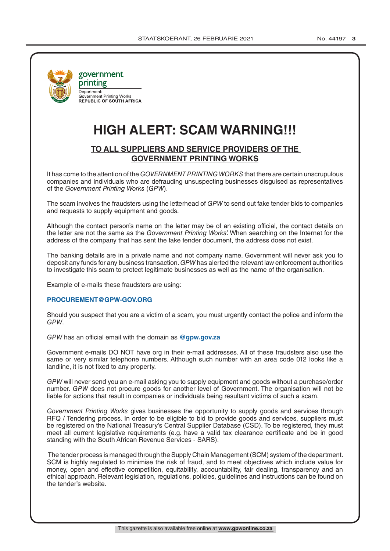

government printing Department:<br>Government Printing Works REPUBLIC OF SOUTH AFRICA

# **HIGH ALERT: SCAM WARNING!!!**

## **TO ALL SUPPLIERS AND SERVICE PROVIDERS OF THE GOVERNMENT PRINTING WORKS**

It has come to the attention of the *GOVERNMENT PRINTING WORKS* that there are certain unscrupulous companies and individuals who are defrauding unsuspecting businesses disguised as representatives of the *Government Printing Works* (*GPW*).

The scam involves the fraudsters using the letterhead of *GPW* to send out fake tender bids to companies and requests to supply equipment and goods.

Although the contact person's name on the letter may be of an existing official, the contact details on the letter are not the same as the *Government Printing Works*'. When searching on the Internet for the address of the company that has sent the fake tender document, the address does not exist.

The banking details are in a private name and not company name. Government will never ask you to deposit any funds for any business transaction. *GPW* has alerted the relevant law enforcement authorities to investigate this scam to protect legitimate businesses as well as the name of the organisation.

Example of e-mails these fraudsters are using:

#### **PROCUREMENT@GPW-GOV.ORG**

Should you suspect that you are a victim of a scam, you must urgently contact the police and inform the *GPW*.

*GPW* has an official email with the domain as **@gpw.gov.za**

Government e-mails DO NOT have org in their e-mail addresses. All of these fraudsters also use the same or very similar telephone numbers. Although such number with an area code 012 looks like a landline, it is not fixed to any property.

*GPW* will never send you an e-mail asking you to supply equipment and goods without a purchase/order number. *GPW* does not procure goods for another level of Government. The organisation will not be liable for actions that result in companies or individuals being resultant victims of such a scam.

*Government Printing Works* gives businesses the opportunity to supply goods and services through RFQ / Tendering process. In order to be eligible to bid to provide goods and services, suppliers must be registered on the National Treasury's Central Supplier Database (CSD). To be registered, they must meet all current legislative requirements (e.g. have a valid tax clearance certificate and be in good standing with the South African Revenue Services - SARS).

 The tender process is managed through the Supply Chain Management (SCM) system of the department. SCM is highly regulated to minimise the risk of fraud, and to meet objectives which include value for money, open and effective competition, equitability, accountability, fair dealing, transparency and an ethical approach. Relevant legislation, regulations, policies, guidelines and instructions can be found on the tender's website.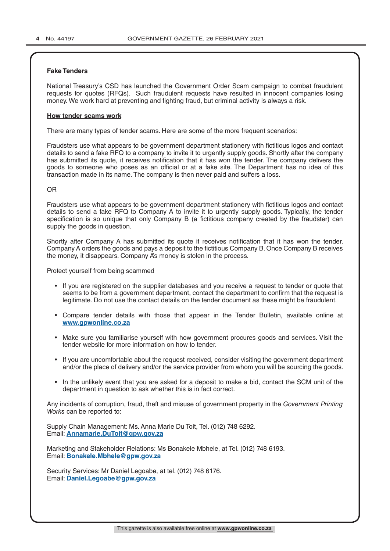#### **Fake Tenders**

National Treasury's CSD has launched the Government Order Scam campaign to combat fraudulent requests for quotes (RFQs). Such fraudulent requests have resulted in innocent companies losing money. We work hard at preventing and fighting fraud, but criminal activity is always a risk.

#### **How tender scams work**

There are many types of tender scams. Here are some of the more frequent scenarios:

Fraudsters use what appears to be government department stationery with fictitious logos and contact details to send a fake RFQ to a company to invite it to urgently supply goods. Shortly after the company has submitted its quote, it receives notification that it has won the tender. The company delivers the goods to someone who poses as an official or at a fake site. The Department has no idea of this transaction made in its name. The company is then never paid and suffers a loss.

#### OR

Fraudsters use what appears to be government department stationery with fictitious logos and contact details to send a fake RFQ to Company A to invite it to urgently supply goods. Typically, the tender specification is so unique that only Company B (a fictitious company created by the fraudster) can supply the goods in question.

Shortly after Company A has submitted its quote it receives notification that it has won the tender. Company A orders the goods and pays a deposit to the fictitious Company B. Once Company B receives the money, it disappears. Company A's money is stolen in the process.

Protect yourself from being scammed

- If you are registered on the supplier databases and you receive a request to tender or quote that seems to be from a government department, contact the department to confirm that the request is legitimate. Do not use the contact details on the tender document as these might be fraudulent.
- Compare tender details with those that appear in the Tender Bulletin, available online at **www.gpwonline.co.za**
- Make sure you familiarise yourself with how government procures goods and services. Visit the tender website for more information on how to tender.
- If you are uncomfortable about the request received, consider visiting the government department and/or the place of delivery and/or the service provider from whom you will be sourcing the goods.
- In the unlikely event that you are asked for a deposit to make a bid, contact the SCM unit of the department in question to ask whether this is in fact correct.

Any incidents of corruption, fraud, theft and misuse of government property in the *Government Printing Works* can be reported to:

Supply Chain Management: Ms. Anna Marie Du Toit, Tel. (012) 748 6292. Email: **Annamarie.DuToit@gpw.gov.za**

Marketing and Stakeholder Relations: Ms Bonakele Mbhele, at Tel. (012) 748 6193. Email: **Bonakele.Mbhele@gpw.gov.za** 

Security Services: Mr Daniel Legoabe, at tel. (012) 748 6176. Email: **Daniel.Legoabe@gpw.gov.za**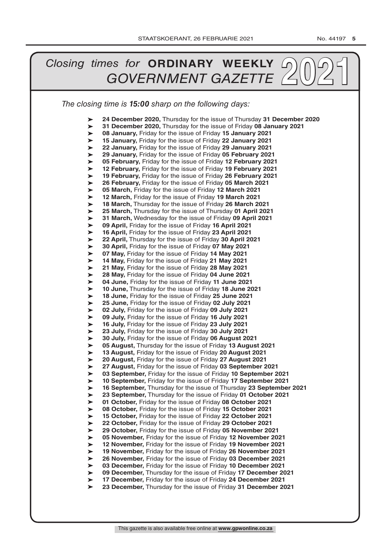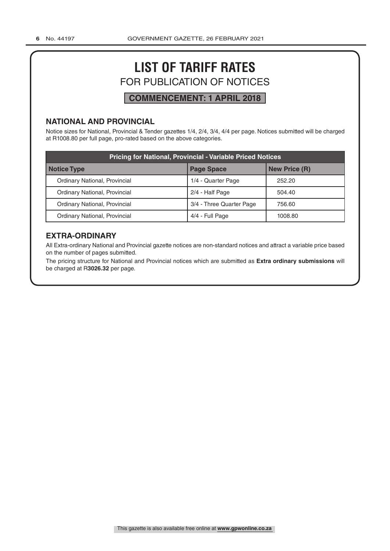# **LIST OF TARIFF RATES** FOR PUBLICATION OF NOTICES

# **COMMENCEMENT: 1 APRIL 2018**

### **NATIONAL AND PROVINCIAL**

Notice sizes for National, Provincial & Tender gazettes 1/4, 2/4, 3/4, 4/4 per page. Notices submitted will be charged at R1008.80 per full page, pro-rated based on the above categories.

| <b>Pricing for National, Provincial - Variable Priced Notices</b> |                          |         |  |
|-------------------------------------------------------------------|--------------------------|---------|--|
| Notice Type                                                       | <b>New Price (R)</b>     |         |  |
| Ordinary National, Provincial                                     | 1/4 - Quarter Page       | 252.20  |  |
| Ordinary National, Provincial                                     | 2/4 - Half Page          | 504.40  |  |
| Ordinary National, Provincial                                     | 3/4 - Three Quarter Page | 756.60  |  |
| Ordinary National, Provincial                                     | 4/4 - Full Page          | 1008.80 |  |

## **EXTRA-ORDINARY**

All Extra-ordinary National and Provincial gazette notices are non-standard notices and attract a variable price based on the number of pages submitted.

The pricing structure for National and Provincial notices which are submitted as **Extra ordinary submissions** will be charged at R**3026.32** per page.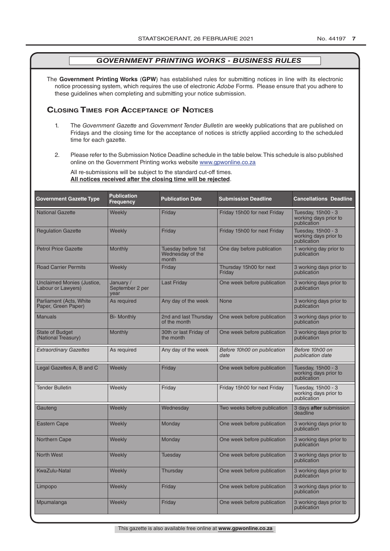The **Government Printing Works** (**GPW**) has established rules for submitting notices in line with its electronic notice processing system, which requires the use of electronic *Adobe* Forms. Please ensure that you adhere to these guidelines when completing and submitting your notice submission.

#### **Closing Times for ACCepTAnCe of noTiCes**

- 1. The *Government Gazette* and *Government Tender Bulletin* are weekly publications that are published on Fridays and the closing time for the acceptance of notices is strictly applied according to the scheduled time for each gazette.
- 2. Please refer to the Submission Notice Deadline schedule in the table below. This schedule is also published online on the Government Printing works website www.gpwonline.co.za

All re-submissions will be subject to the standard cut-off times. **All notices received after the closing time will be rejected**.

| <b>Government Gazette Type</b>                   | <b>Publication</b><br><b>Frequency</b> | <b>Publication Date</b>                         | <b>Submission Deadline</b>          | <b>Cancellations Deadline</b>                              |
|--------------------------------------------------|----------------------------------------|-------------------------------------------------|-------------------------------------|------------------------------------------------------------|
| <b>National Gazette</b>                          | Weekly                                 | Friday                                          | Friday 15h00 for next Friday        | Tuesday, 15h00 - 3<br>working days prior to<br>publication |
| <b>Regulation Gazette</b>                        | Weekly                                 | Friday                                          | Friday 15h00 for next Friday        | Tuesday, 15h00 - 3<br>working days prior to<br>publication |
| <b>Petrol Price Gazette</b>                      | Monthly                                | Tuesday before 1st<br>Wednesday of the<br>month | One day before publication          | 1 working day prior to<br>publication                      |
| <b>Road Carrier Permits</b>                      | Weekly                                 | Friday                                          | Thursday 15h00 for next<br>Friday   | 3 working days prior to<br>publication                     |
| Unclaimed Monies (Justice,<br>Labour or Lawyers) | January /<br>September 2 per<br>vear   | <b>Last Friday</b>                              | One week before publication         | 3 working days prior to<br>publication                     |
| Parliament (Acts, White<br>Paper, Green Paper)   | As required                            | Any day of the week                             | None                                | 3 working days prior to<br>publication                     |
| <b>Manuals</b>                                   | <b>Bi- Monthly</b>                     | 2nd and last Thursday<br>of the month           | One week before publication         | 3 working days prior to<br>publication                     |
| <b>State of Budget</b><br>(National Treasury)    | <b>Monthly</b>                         | 30th or last Friday of<br>the month             | One week before publication         | 3 working days prior to<br>publication                     |
| <b>Extraordinary Gazettes</b>                    | As required                            | Any day of the week                             | Before 10h00 on publication<br>date | Before 10h00 on<br>publication date                        |
| Legal Gazettes A, B and C                        | Weekly                                 | Friday                                          | One week before publication         | Tuesday, 15h00 - 3<br>working days prior to<br>publication |
| <b>Tender Bulletin</b>                           | Weekly                                 | Friday                                          | Friday 15h00 for next Friday        | Tuesday, 15h00 - 3<br>working days prior to<br>publication |
| Gauteng                                          | Weekly                                 | Wednesday                                       | Two weeks before publication        | 3 days <b>after</b> submission<br>deadline                 |
| Eastern Cape                                     | Weekly                                 | Monday                                          | One week before publication         | 3 working days prior to<br>publication                     |
| <b>Northern Cape</b>                             | Weekly                                 | Monday                                          | One week before publication         | 3 working days prior to<br>publication                     |
| <b>North West</b>                                | Weekly                                 | Tuesdav                                         | One week before publication         | 3 working days prior to<br>publication                     |
| <b>KwaZulu-Natal</b>                             | Weekly                                 | Thursday                                        | One week before publication         | 3 working days prior to<br>publication                     |
| Limpopo                                          | Weekly                                 | Friday                                          | One week before publication         | 3 working days prior to<br>publication                     |
| Mpumalanga                                       | Weekly                                 | Friday                                          | One week before publication         | 3 working days prior to<br>publication                     |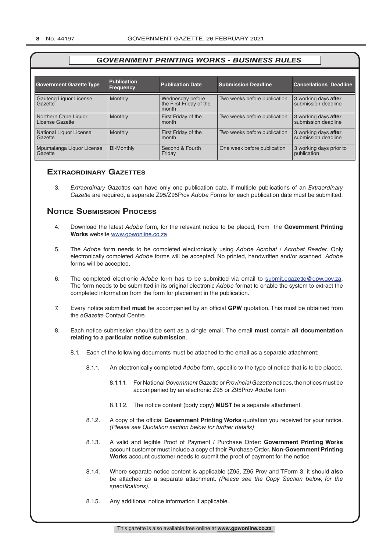| <b>Government Gazette Type</b>          | <b>Publication</b><br><b>Frequency</b> | <b>Publication Date</b>                              | <b>Submission Deadline</b>   | <b>Cancellations Deadline</b>               |
|-----------------------------------------|----------------------------------------|------------------------------------------------------|------------------------------|---------------------------------------------|
| Gauteng Liquor License<br>Gazette       | Monthly                                | Wednesday before<br>the First Friday of the<br>month | Two weeks before publication | 3 working days after<br>submission deadline |
| Northern Cape Liquor<br>License Gazette | Monthly                                | First Friday of the<br>month                         | Two weeks before publication | 3 working days after<br>submission deadline |
| National Liquor License<br>Gazette      | Monthly                                | First Friday of the<br>month                         | Two weeks before publication | 3 working days after<br>submission deadline |
| Mpumalanga Liquor License<br>Gazette    | <b>Bi-Monthly</b>                      | Second & Fourth<br>Friday                            | One week before publication  | 3 working days prior to<br>publication      |

### **exTrAordinAry gAzeTTes**

3. *Extraordinary Gazettes* can have only one publication date. If multiple publications of an *Extraordinary Gazette* are required, a separate Z95/Z95Prov *Adobe* Forms for each publication date must be submitted.

### **NOTICE SUBMISSION PROCESS**

- 4. Download the latest *Adobe* form, for the relevant notice to be placed, from the **Government Printing Works** website www.gpwonline.co.za.
- 5. The *Adobe* form needs to be completed electronically using *Adobe Acrobat* / *Acrobat Reader*. Only electronically completed *Adobe* forms will be accepted. No printed, handwritten and/or scanned *Adobe* forms will be accepted.
- 6. The completed electronic *Adobe* form has to be submitted via email to submit.egazette@gpw.gov.za. The form needs to be submitted in its original electronic *Adobe* format to enable the system to extract the completed information from the form for placement in the publication.
- 7. Every notice submitted **must** be accompanied by an official **GPW** quotation. This must be obtained from the *eGazette* Contact Centre.
- 8. Each notice submission should be sent as a single email. The email **must** contain **all documentation relating to a particular notice submission**.
	- 8.1. Each of the following documents must be attached to the email as a separate attachment:
		- 8.1.1. An electronically completed *Adobe* form, specific to the type of notice that is to be placed.
			- 8.1.1.1. For National *Government Gazette* or *Provincial Gazette* notices, the notices must be accompanied by an electronic Z95 or Z95Prov *Adobe* form
			- 8.1.1.2. The notice content (body copy) **MUST** be a separate attachment.
		- 8.1.2. A copy of the official **Government Printing Works** quotation you received for your notice. *(Please see Quotation section below for further details)*
		- 8.1.3. A valid and legible Proof of Payment / Purchase Order: **Government Printing Works** account customer must include a copy of their Purchase Order*.* **Non**-**Government Printing Works** account customer needs to submit the proof of payment for the notice
		- 8.1.4. Where separate notice content is applicable (Z95, Z95 Prov and TForm 3, it should **also** be attached as a separate attachment. *(Please see the Copy Section below, for the specifications)*.
		- 8.1.5. Any additional notice information if applicable.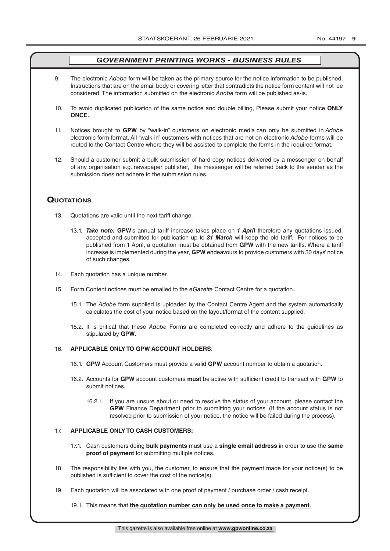- 9. The electronic *Adobe* form will be taken as the primary source for the notice information to be published. Instructions that are on the email body or covering letter that contradicts the notice form content will not be considered. The information submitted on the electronic *Adobe* form will be published as-is.
- 10. To avoid duplicated publication of the same notice and double billing, Please submit your notice **ONLY ONCE.**
- 11. Notices brought to **GPW** by "walk-in" customers on electronic media can only be submitted in *Adobe* electronic form format. All "walk-in" customers with notices that are not on electronic *Adobe* forms will be routed to the Contact Centre where they will be assisted to complete the forms in the required format.
- 12. Should a customer submit a bulk submission of hard copy notices delivered by a messenger on behalf of any organisation e.g. newspaper publisher, the messenger will be referred back to the sender as the submission does not adhere to the submission rules.

### **QuoTATions**

- 13. Quotations are valid until the next tariff change.
	- 13.1. *Take note:* **GPW**'s annual tariff increase takes place on *1 April* therefore any quotations issued, accepted and submitted for publication up to *31 March* will keep the old tariff. For notices to be published from 1 April, a quotation must be obtained from **GPW** with the new tariffs. Where a tariff increase is implemented during the year, **GPW** endeavours to provide customers with 30 days' notice of such changes.
- 14. Each quotation has a unique number.
- 15. Form Content notices must be emailed to the *eGazette* Contact Centre for a quotation.
	- 15.1. The *Adobe* form supplied is uploaded by the Contact Centre Agent and the system automatically calculates the cost of your notice based on the layout/format of the content supplied.
	- 15.2. It is critical that these *Adobe* Forms are completed correctly and adhere to the guidelines as stipulated by **GPW**.

#### 16. **APPLICABLE ONLY TO GPW ACCOUNT HOLDERS**:

- 16.1. **GPW** Account Customers must provide a valid **GPW** account number to obtain a quotation.
- 16.2. Accounts for **GPW** account customers **must** be active with sufficient credit to transact with **GPW** to submit notices.
	- 16.2.1. If you are unsure about or need to resolve the status of your account, please contact the **GPW** Finance Department prior to submitting your notices. (If the account status is not resolved prior to submission of your notice, the notice will be failed during the process).

#### 17. **APPLICABLE ONLY TO CASH CUSTOMERS:**

- 17.1. Cash customers doing **bulk payments** must use a **single email address** in order to use the **same proof of payment** for submitting multiple notices.
- 18. The responsibility lies with you, the customer, to ensure that the payment made for your notice(s) to be published is sufficient to cover the cost of the notice(s).
- 19. Each quotation will be associated with one proof of payment / purchase order / cash receipt.
	- 19.1. This means that **the quotation number can only be used once to make a payment.**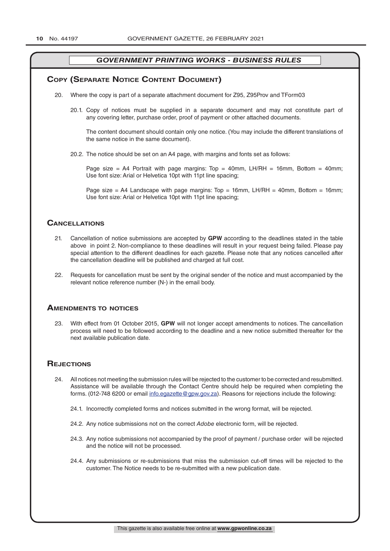#### **COPY (SEPARATE NOTICE CONTENT DOCUMENT)**

- 20. Where the copy is part of a separate attachment document for Z95, Z95Prov and TForm03
	- 20.1. Copy of notices must be supplied in a separate document and may not constitute part of any covering letter, purchase order, proof of payment or other attached documents.

The content document should contain only one notice. (You may include the different translations of the same notice in the same document).

20.2. The notice should be set on an A4 page, with margins and fonts set as follows:

Page size = A4 Portrait with page margins: Top = 40mm, LH/RH = 16mm, Bottom = 40mm; Use font size: Arial or Helvetica 10pt with 11pt line spacing;

Page size = A4 Landscape with page margins:  $Top = 16mm$ , LH/RH = 40mm, Bottom = 16mm; Use font size: Arial or Helvetica 10pt with 11pt line spacing;

#### **CAnCellATions**

- 21. Cancellation of notice submissions are accepted by **GPW** according to the deadlines stated in the table above in point 2. Non-compliance to these deadlines will result in your request being failed. Please pay special attention to the different deadlines for each gazette. Please note that any notices cancelled after the cancellation deadline will be published and charged at full cost.
- 22. Requests for cancellation must be sent by the original sender of the notice and must accompanied by the relevant notice reference number (N-) in the email body.

#### **AmendmenTs To noTiCes**

23. With effect from 01 October 2015, **GPW** will not longer accept amendments to notices. The cancellation process will need to be followed according to the deadline and a new notice submitted thereafter for the next available publication date.

#### **REJECTIONS**

- 24. All notices not meeting the submission rules will be rejected to the customer to be corrected and resubmitted. Assistance will be available through the Contact Centre should help be required when completing the forms. (012-748 6200 or email info.egazette@gpw.gov.za). Reasons for rejections include the following:
	- 24.1. Incorrectly completed forms and notices submitted in the wrong format, will be rejected.
	- 24.2. Any notice submissions not on the correct *Adobe* electronic form, will be rejected.
	- 24.3. Any notice submissions not accompanied by the proof of payment / purchase order will be rejected and the notice will not be processed.
	- 24.4. Any submissions or re-submissions that miss the submission cut-off times will be rejected to the customer. The Notice needs to be re-submitted with a new publication date.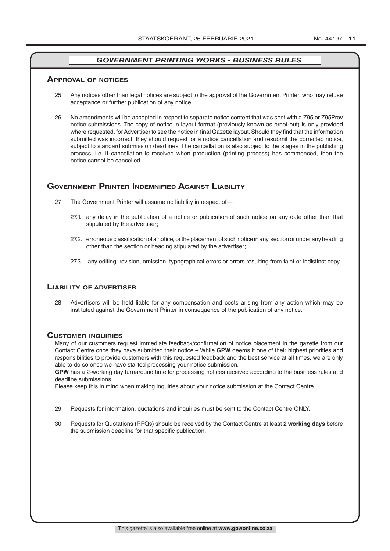#### **ApprovAl of noTiCes**

- 25. Any notices other than legal notices are subject to the approval of the Government Printer, who may refuse acceptance or further publication of any notice.
- 26. No amendments will be accepted in respect to separate notice content that was sent with a Z95 or Z95Prov notice submissions. The copy of notice in layout format (previously known as proof-out) is only provided where requested, for Advertiser to see the notice in final Gazette layout. Should they find that the information submitted was incorrect, they should request for a notice cancellation and resubmit the corrected notice, subject to standard submission deadlines. The cancellation is also subject to the stages in the publishing process, i.e. If cancellation is received when production (printing process) has commenced, then the notice cannot be cancelled.

#### **governmenT prinTer indemnified AgAinsT liAbiliTy**

- 27. The Government Printer will assume no liability in respect of—
	- 27.1. any delay in the publication of a notice or publication of such notice on any date other than that stipulated by the advertiser;
	- 27.2. erroneous classification of a notice, or the placement of such notice in any section or under any heading other than the section or heading stipulated by the advertiser;
	- 27.3. any editing, revision, omission, typographical errors or errors resulting from faint or indistinct copy.

#### **liAbiliTy of AdverTiser**

28. Advertisers will be held liable for any compensation and costs arising from any action which may be instituted against the Government Printer in consequence of the publication of any notice.

#### **CusTomer inQuiries**

Many of our customers request immediate feedback/confirmation of notice placement in the gazette from our Contact Centre once they have submitted their notice – While **GPW** deems it one of their highest priorities and responsibilities to provide customers with this requested feedback and the best service at all times, we are only able to do so once we have started processing your notice submission.

**GPW** has a 2-working day turnaround time for processing notices received according to the business rules and deadline submissions.

Please keep this in mind when making inquiries about your notice submission at the Contact Centre.

- 29. Requests for information, quotations and inquiries must be sent to the Contact Centre ONLY.
- 30. Requests for Quotations (RFQs) should be received by the Contact Centre at least **2 working days** before the submission deadline for that specific publication.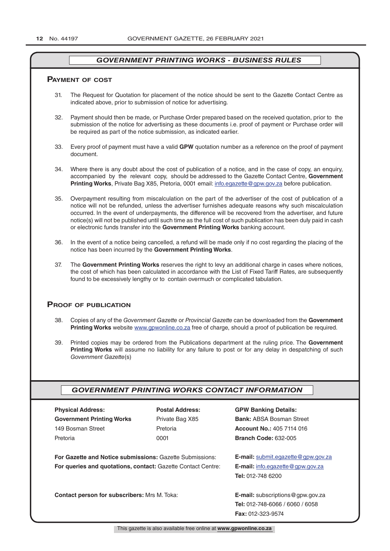#### **pAymenT of CosT**

- 31. The Request for Quotation for placement of the notice should be sent to the Gazette Contact Centre as indicated above, prior to submission of notice for advertising.
- 32. Payment should then be made, or Purchase Order prepared based on the received quotation, prior to the submission of the notice for advertising as these documents i.e. proof of payment or Purchase order will be required as part of the notice submission, as indicated earlier.
- 33. Every proof of payment must have a valid **GPW** quotation number as a reference on the proof of payment document.
- 34. Where there is any doubt about the cost of publication of a notice, and in the case of copy, an enquiry, accompanied by the relevant copy, should be addressed to the Gazette Contact Centre, **Government Printing Works**, Private Bag X85, Pretoria, 0001 email: info.egazette@gpw.gov.za before publication.
- 35. Overpayment resulting from miscalculation on the part of the advertiser of the cost of publication of a notice will not be refunded, unless the advertiser furnishes adequate reasons why such miscalculation occurred. In the event of underpayments, the difference will be recovered from the advertiser, and future notice(s) will not be published until such time as the full cost of such publication has been duly paid in cash or electronic funds transfer into the **Government Printing Works** banking account.
- 36. In the event of a notice being cancelled, a refund will be made only if no cost regarding the placing of the notice has been incurred by the **Government Printing Works**.
- 37. The **Government Printing Works** reserves the right to levy an additional charge in cases where notices, the cost of which has been calculated in accordance with the List of Fixed Tariff Rates, are subsequently found to be excessively lengthy or to contain overmuch or complicated tabulation.

#### **proof of publiCATion**

- 38. Copies of any of the *Government Gazette* or *Provincial Gazette* can be downloaded from the **Government Printing Works** website www.gpwonline.co.za free of charge, should a proof of publication be required.
- 39. Printed copies may be ordered from the Publications department at the ruling price. The **Government Printing Works** will assume no liability for any failure to post or for any delay in despatching of such *Government Gazette*(s)

#### *GOVERNMENT PRINTING WORKS CONTACT INFORMATION*

| <b>Physical Address:</b>         | <b>Postal Address:</b> | <b>GPW Banking Details:</b>  |
|----------------------------------|------------------------|------------------------------|
| <b>Government Printing Works</b> | Private Bag X85        | <b>Bank: ABSA Bosman St</b>  |
| 149 Bosman Street                | Pretoria               | <b>Account No.: 405 7114</b> |
| Pretoria                         | 0001                   | <b>Branch Code: 632-005</b>  |

Private Bag X85 **Bank:** ABSA Bosman Street

149 Bosman Street Pretoria **Account No.:** 405 7114 016 Pretoria 0001 **Branch Code:** 632-005

**For Gazette and Notice submissions:** Gazette Submissions: **E-mail:** submit.egazette@gpw.gov.za **For queries and quotations, contact:** Gazette Contact Centre: **E-mail:** info.egazette@gpw.gov.za

**Tel:** 012-748 6200

**Contact person for subscribers:** Mrs M. Toka: **E-mail:** subscriptions@gpw.gov.za **Tel:** 012-748-6066 / 6060 / 6058 **Fax:** 012-323-9574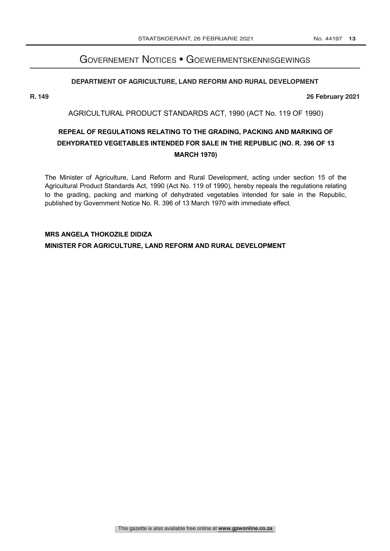# <span id="page-12-0"></span>Governement Notices • Goewermentskennisgewings

#### **DEPARTMENT OF AGRICULTURE, LAND REFORM AND RURAL DEVELOPMENT**

**R. 149 26 February 2021**

AGRICULTURAL PRODUCT STANDARDS ACT, 1990 (ACT No. 119 OF 1990)

# **REPEAL OF REGULATIONS RELATING TO THE GRADING, PACKING AND MARKING OF DEHYDRATED VEGETABLES INTENDED FOR SALE IN THE REPUBLIC (NO. R. 396 OF 13 MARCH 1970)**

The Minister of Agriculture, Land Reform and Rural Development, acting under section 15 of the Agricultural Product Standards Act, 1990 (Act No. 119 of 1990), hereby repeals the regulations relating to the grading, packing and marking of dehydrated vegetables intended for sale in the Republic, published by Government Notice No. R. 396 of 13 March 1970 with immediate effect.

### **MRS ANGELA THOKOZILE DIDIZA**

**MINISTER FOR AGRICULTURE, LAND REFORM AND RURAL DEVELOPMENT**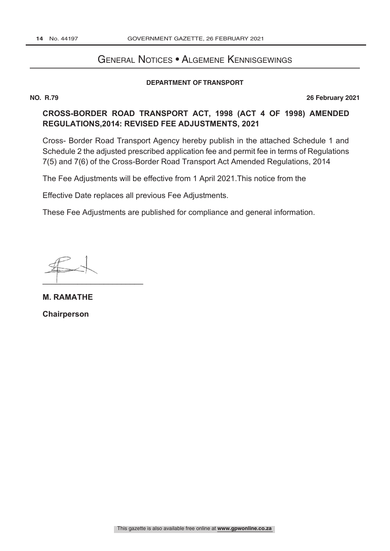# General Notices • Algemene Kennisgewings

#### **DEPARTMENT OF TRANSPORT**

<span id="page-13-0"></span>**NO. R.79 26 February 2021**

# **CROSS-BORDER ROAD TRANSPORT ACT, 1998 (ACT 4 OF 1998) AMENDED REGULATIONS,2014: REVISED FEE ADJUSTMENTS, 2021**

Cross- Border Road Transport Agency hereby publish in the attached Schedule 1 and Schedule 2 the adjusted prescribed application fee and permit fee in terms of Regulations 7(5) and 7(6) of the Cross-Border Road Transport Act Amended Regulations, 2014

The Fee Adjustments will be effective from 1 April 2021.This notice from the

Effective Date replaces all previous Fee Adjustments.

These Fee Adjustments are published for compliance and general information.

 $\frac{1}{2}$  ,  $\frac{1}{2}$  ,  $\frac{1}{2}$  ,  $\frac{1}{2}$  ,  $\frac{1}{2}$  ,  $\frac{1}{2}$  ,  $\frac{1}{2}$  ,  $\frac{1}{2}$  ,  $\frac{1}{2}$  ,  $\frac{1}{2}$  ,  $\frac{1}{2}$  ,  $\frac{1}{2}$  ,  $\frac{1}{2}$  ,  $\frac{1}{2}$  ,  $\frac{1}{2}$  ,  $\frac{1}{2}$  ,  $\frac{1}{2}$  ,  $\frac{1}{2}$  ,  $\frac{1$ 

**M. RAMATHE Chairperson**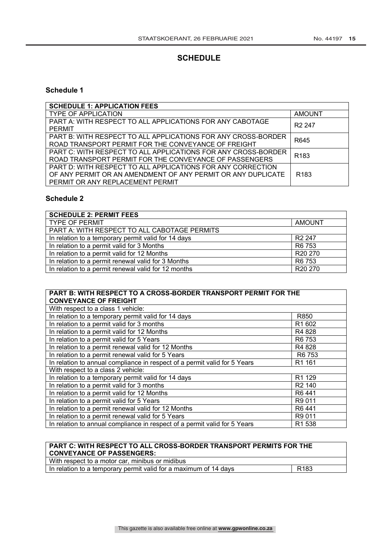## **SCHEDULE**

### **Schedule 1**

| <b>SCHEDULE 1: APPLICATION FEES</b>                                                                                                                             |                    |
|-----------------------------------------------------------------------------------------------------------------------------------------------------------------|--------------------|
| <b>TYPE OF APPLICATION</b>                                                                                                                                      | <b>AMOUNT</b>      |
| PART A: WITH RESPECT TO ALL APPLICATIONS FOR ANY CABOTAGE<br><b>PERMIT</b>                                                                                      | R <sub>2</sub> 247 |
| PART B: WITH RESPECT TO ALL APPLICATIONS FOR ANY CROSS-BORDER<br>ROAD TRANSPORT PERMIT FOR THE CONVEYANCE OF FREIGHT                                            | R645               |
| PART C: WITH RESPECT TO ALL APPLICATIONS FOR ANY CROSS-BORDER<br>ROAD TRANSPORT PERMIT FOR THE CONVEYANCE OF PASSENGERS                                         | R <sub>183</sub>   |
| PART D: WITH RESPECT TO ALL APPLICATIONS FOR ANY CORRECTION<br>OF ANY PERMIT OR AN AMENDMENT OF ANY PERMIT OR ANY DUPLICATE<br>PERMIT OR ANY REPLACEMENT PERMIT | R <sub>183</sub>   |

### **Schedule 2**

| <b>SCHEDULE 2: PERMIT FEES</b>                      |                     |
|-----------------------------------------------------|---------------------|
| <b>TYPE OF PERMIT</b>                               | AMOUNT              |
| PART A: WITH RESPECT TO ALL CABOTAGE PERMITS        |                     |
| In relation to a temporary permit valid for 14 days | R <sub>2</sub> 247  |
| In relation to a permit valid for 3 Months          | R6 753              |
| In relation to a permit valid for 12 Months         | R <sub>20</sub> 270 |
| In relation to a permit renewal valid for 3 Months  | R6 753              |
| In relation to a permit renewal valid for 12 months | R <sub>20</sub> 270 |

| PART B: WITH RESPECT TO A CROSS-BORDER TRANSPORT PERMIT FOR THE           |                    |  |  |  |
|---------------------------------------------------------------------------|--------------------|--|--|--|
| <b>CONVEYANCE OF FREIGHT</b>                                              |                    |  |  |  |
| With respect to a class 1 vehicle:                                        |                    |  |  |  |
| In relation to a temporary permit valid for 14 days                       | R850               |  |  |  |
| In relation to a permit valid for 3 months                                | R <sub>1</sub> 602 |  |  |  |
| In relation to a permit valid for 12 Months                               | R4 828             |  |  |  |
| In relation to a permit valid for 5 Years                                 | R6 753             |  |  |  |
| In relation to a permit renewal valid for 12 Months                       | R4 828             |  |  |  |
| In relation to a permit renewal valid for 5 Years                         | R6 753             |  |  |  |
| In relation to annual compliance in respect of a permit valid for 5 Years | R <sub>1</sub> 161 |  |  |  |
| With respect to a class 2 vehicle:                                        |                    |  |  |  |
| In relation to a temporary permit valid for 14 days                       | R <sub>1</sub> 129 |  |  |  |
| In relation to a permit valid for 3 months                                | R <sub>2</sub> 140 |  |  |  |
| In relation to a permit valid for 12 Months                               | R <sub>6</sub> 441 |  |  |  |
| In relation to a permit valid for 5 Years                                 | R9 011             |  |  |  |
| In relation to a permit renewal valid for 12 Months                       | R6441              |  |  |  |
| In relation to a permit renewal valid for 5 Years                         | R9 011             |  |  |  |
| In relation to annual compliance in respect of a permit valid for 5 Years | R <sub>1</sub> 538 |  |  |  |

#### **PART C: WITH RESPECT TO ALL CROSS-BORDER TRANSPORT PERMITS FOR THE CONVEYANCE OF PASSENGERS:**

| With respect to a motor car, minibus or midibus                  |      |
|------------------------------------------------------------------|------|
| In relation to a temporary permit valid for a maximum of 14 days | R183 |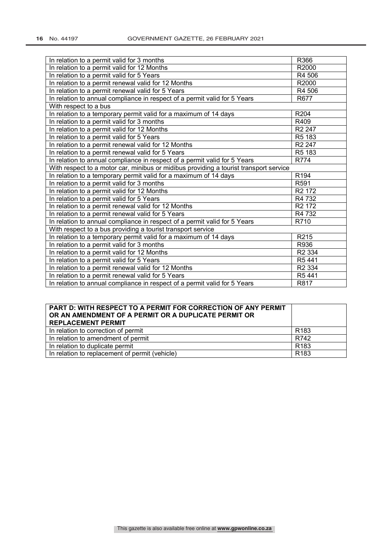| In relation to a permit valid for 3 months                                            | R366               |
|---------------------------------------------------------------------------------------|--------------------|
| In relation to a permit valid for 12 Months                                           | R2000              |
| In relation to a permit valid for 5 Years                                             | R4 506             |
| In relation to a permit renewal valid for 12 Months                                   | R2000              |
| In relation to a permit renewal valid for 5 Years                                     | R4 506             |
| In relation to annual compliance in respect of a permit valid for 5 Years             | R677               |
| With respect to a bus                                                                 |                    |
| In relation to a temporary permit valid for a maximum of 14 days                      | R204               |
| In relation to a permit valid for 3 months                                            | R409               |
| In relation to a permit valid for 12 Months                                           | R <sub>2</sub> 247 |
| In relation to a permit valid for 5 Years                                             | R5 183             |
| In relation to a permit renewal valid for 12 Months                                   | R <sub>2</sub> 247 |
| In relation to a permit renewal valid for 5 Years                                     | R5 183             |
| In relation to annual compliance in respect of a permit valid for 5 Years             | R774               |
| With respect to a motor car, minibus or midibus providing a tourist transport service |                    |
| In relation to a temporary permit valid for a maximum of 14 days                      | R <sub>194</sub>   |
| In relation to a permit valid for 3 months                                            | R591               |
| In relation to a permit valid for 12 Months                                           | R <sub>2</sub> 172 |
| In relation to a permit valid for 5 Years                                             | R4 732             |
| In relation to a permit renewal valid for 12 Months                                   | R <sub>2</sub> 172 |
| In relation to a permit renewal valid for 5 Years                                     | R4 732             |
| In relation to annual compliance in respect of a permit valid for 5 Years             | R710               |
| With respect to a bus providing a tourist transport service                           |                    |
| In relation to a temporary permit valid for a maximum of 14 days                      | R215               |
| In relation to a permit valid for 3 months                                            | R936               |
| In relation to a permit valid for 12 Months                                           | R2 334             |
| In relation to a permit valid for 5 Years                                             | R <sub>5</sub> 441 |
| In relation to a permit renewal valid for 12 Months                                   | R <sub>2</sub> 334 |
| In relation to a permit renewal valid for 5 Years                                     | R5441              |
| In relation to annual compliance in respect of a permit valid for 5 Years             | R817               |
|                                                                                       |                    |

| <b>PART D: WITH RESPECT TO A PERMIT FOR CORRECTION OF ANY PERMIT</b><br>OR AN AMENDMENT OF A PERMIT OR A DUPLICATE PERMIT OR<br><b>REPLACEMENT PERMIT</b> |                  |
|-----------------------------------------------------------------------------------------------------------------------------------------------------------|------------------|
| In relation to correction of permit                                                                                                                       | R <sub>183</sub> |
| In relation to amendment of permit                                                                                                                        | R742             |
| In relation to duplicate permit                                                                                                                           | R <sub>183</sub> |
| In relation to replacement of permit (vehicle)                                                                                                            | R <sub>183</sub> |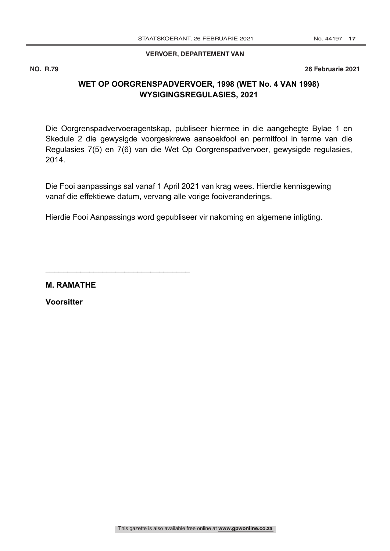**VERVOER, DEPARTEMENT VAN**

#### <span id="page-16-0"></span>**NO. R.79 26 Februarie 2021**

# **WET OP OORGRENSPADVERVOER, 1998 (WET No. 4 VAN 1998) WYSIGINGSREGULASIES, 2021**

Die Oorgrenspadvervoeragentskap, publiseer hiermee in die aangehegte Bylae 1 en Skedule 2 die gewysigde voorgeskrewe aansoekfooi en permitfooi in terme van die Regulasies 7(5) en 7(6) van die Wet Op Oorgrenspadvervoer, gewysigde regulasies, 2014.

Die Fooi aanpassings sal vanaf 1 April 2021 van krag wees. Hierdie kennisgewing vanaf die effektiewe datum, vervang alle vorige fooiveranderings.

Hierdie Fooi Aanpassings word gepubliseer vir nakoming en algemene inligting.

**M. RAMATHE**

\_\_\_\_\_\_\_\_\_\_\_\_\_\_\_\_\_\_\_\_\_\_\_\_\_\_\_\_\_\_\_\_\_

**Voorsitter**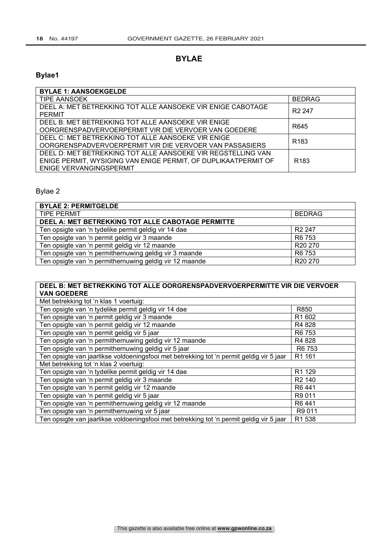# **BYLAE**

# **Bylae1**

| <b>BYLAE 1: AANSOEKGELDE</b>                                                                                                                              |                    |
|-----------------------------------------------------------------------------------------------------------------------------------------------------------|--------------------|
| <b>TIPE AANSOEK</b>                                                                                                                                       | <b>BEDRAG</b>      |
| DEEL A: MET BETREKKING TOT ALLE AANSOEKE VIR ENIGE CABOTAGE<br><b>PERMIT</b>                                                                              | R <sub>2</sub> 247 |
| DEEL B: MET BETREKKING TOT ALLE AANSOEKE VIR ENIGE<br>OORGRENSPADVERVOERPERMIT VIR DIE VERVOER VAN GOEDERE                                                | R645               |
| DEEL C: MET BETREKKING TOT ALLE AANSOEKE VIR ENIGE<br>OORGRENSPADVERVOERPERMIT VIR DIE VERVOER VAN PASSASIERS                                             | R <sub>183</sub>   |
| DEEL D: MET BETREKKING TOT ALLE AANSOEKE VIR REGSTELLING VAN<br>ENIGE PERMIT, WYSIGING VAN ENIGE PERMIT, OF DUPLIKAATPERMIT OF<br>ENIGE VERVANGINGSPERMIT | R <sub>183</sub>   |

# Bylae 2

| <b>BYLAE 2: PERMITGELDE</b>                             |                     |
|---------------------------------------------------------|---------------------|
| <b>TIPE PERMIT</b>                                      | <b>BEDRAG</b>       |
| DEEL A: MET BETREKKING TOT ALLE CABOTAGE PERMITTE       |                     |
| Ten opsigte van 'n tydelike permit geldig vir 14 dae    | R <sub>2</sub> 247  |
| Ten opsigte van 'n permit geldig vir 3 maande           | R6 753              |
| Ten opsigte van 'n permit geldig vir 12 maande          | R <sub>20</sub> 270 |
| Ten opsigte van 'n permithernuwing geldig vir 3 maande  | R <sub>6</sub> 753  |
| Ten opsigte van 'n permithernuwing geldig vir 12 maande | R <sub>20</sub> 270 |

#### **DEEL B: MET BETREKKING TOT ALLE OORGRENSPADVERVOERPERMITTE VIR DIE VERVOER VAN GOEDERE**

| Met betrekking tot 'n klas 1 voertuig:                                                   |                    |
|------------------------------------------------------------------------------------------|--------------------|
| Ten opsigte van 'n tydelike permit geldig vir 14 dae                                     | R850               |
| Ten opsigte van 'n permit geldig vir 3 maande                                            | R <sub>1</sub> 602 |
| Ten opsigte van 'n permit geldig vir 12 maande                                           | R4 828             |
| Ten opsigte van 'n permit geldig vir 5 jaar                                              | R6 753             |
| Ten opsigte van 'n permithernuwing geldig vir 12 maande                                  | R4 828             |
| Ten opsigte van 'n permithernuwing geldig vir 5 jaar                                     | R6 753             |
| Ten opsigte van jaarlikse voldoeningsfooi met betrekking tot 'n permit geldig vir 5 jaar | R <sub>1</sub> 161 |
| Met betrekking tot 'n klas 2 voertuig:                                                   |                    |
| Ten opsigte van 'n tydelike permit geldig vir 14 dae                                     | R <sub>1</sub> 129 |
| Ten opsigte van 'n permit geldig vir 3 maande                                            | R <sub>2</sub> 140 |
| Ten opsigte van 'n permit geldig vir 12 maande                                           | R <sub>6</sub> 441 |
| Ten opsigte van 'n permit geldig vir 5 jaar                                              | R9 011             |
| Ten opsigte van 'n permithernuwing geldig vir 12 maande                                  | R6 441             |
| Ten opsigte van 'n permithernuwing vir 5 jaar                                            | R9 011             |
| Ten opsigte van jaarlikse voldoeningsfooi met betrekking tot 'n permit geldig vir 5 jaar | R <sub>1</sub> 538 |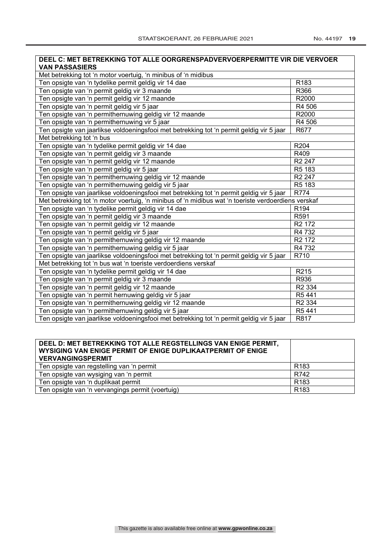$\blacksquare$ 

| DEEL C: MET BETREKKING TOT ALLE OORGRENSPADVERVOERPERMITTE VIR DIE VERVOER<br><b>VAN PASSASIERS</b> |                    |
|-----------------------------------------------------------------------------------------------------|--------------------|
| Met betrekking tot 'n motor voertuig, 'n minibus of 'n midibus                                      |                    |
| Ten opsigte van 'n tydelike permit geldig vir 14 dae                                                | R <sub>183</sub>   |
| Ten opsigte van 'n permit geldig vir 3 maande                                                       | R366               |
| Ten opsigte van 'n permit geldig vir 12 maande                                                      | R2000              |
| Ten opsigte van 'n permit geldig vir 5 jaar                                                         | R4 506             |
| Ten opsigte van 'n permithernuwing geldig vir 12 maande                                             | R2000              |
| Ten opsigte van 'n permithernuwing vir 5 jaar                                                       | R4 506             |
| Ten opsigte van jaarlikse voldoeningsfooi met betrekking tot 'n permit geldig vir 5 jaar            | R677               |
| Met betrekking tot 'n bus                                                                           |                    |
| Ten opsigte van 'n tydelike permit geldig vir 14 dae                                                | R204               |
| Ten opsigte van 'n permit geldig vir 3 maande                                                       | R409               |
| Ten opsigte van 'n permit geldig vir 12 maande                                                      | R <sub>2</sub> 247 |
| Ten opsigte van 'n permit geldig vir 5 jaar                                                         | R5 183             |
| Ten opsigte van 'n permithernuwing geldig vir 12 maande                                             | R <sub>2</sub> 247 |
| Ten opsigte van 'n permithernuwing geldig vir 5 jaar                                                | R5 183             |
| Ten opsigte van jaarlikse voldoeningsfooi met betrekking tot 'n permit geldig vir 5 jaar            | R774               |
| Met betrekking tot 'n motor voertuig, 'n minibus of 'n midibus wat 'n toeriste verdoerdiens verskaf |                    |
| Ten opsigte van 'n tydelike permit geldig vir 14 dae                                                | R <sub>194</sub>   |
| Ten opsigte van 'n permit geldig vir 3 maande                                                       | R591               |
| Ten opsigte van 'n permit geldig vir 12 maande                                                      | R <sub>2</sub> 172 |
| Ten opsigte van 'n permit geldig vir 5 jaar                                                         | R4 732             |
| Ten opsigte van 'n permithernuwing geldig vir 12 maande                                             | R <sub>2</sub> 172 |
| Ten opsigte van 'n permithernuwing geldig vir 5 jaar                                                | R4 732             |
| Ten opsigte van jaarlikse voldoeningsfooi met betrekking tot 'n permit geldig vir 5 jaar            | R710               |
| Met betrekking tot 'n bus wat 'n toeriste verdoerdiens verskaf                                      |                    |
| Ten opsigte van 'n tydelike permit geldig vir 14 dae                                                | R215               |
| Ten opsigte van 'n permit geldig vir 3 maande                                                       | R936               |
| Ten opsigte van 'n permit geldig vir 12 maande                                                      | R <sub>2</sub> 334 |
| Ten opsigte van 'n permit hernuwing geldig vir 5 jaar                                               | R5441              |
| Ten opsigte van 'n permithernuwing geldig vir 12 maande                                             | R <sub>2</sub> 334 |
| Ten opsigte van 'n permithernuwing geldig vir 5 jaar                                                | R5441              |
| Ten opsigte van jaarlikse voldoeningsfooi met betrekking tot 'n permit geldig vir 5 jaar            | R817               |

| DEEL D: MET BETREKKING TOT ALLE REGSTELLINGS VAN ENIGE PERMIT, |                  |
|----------------------------------------------------------------|------------------|
| WYSIGING VAN ENIGE PERMIT OF ENIGE DUPLIKAATPERMIT OF ENIGE    |                  |
| <b>VERVANGINGSPERMIT</b>                                       |                  |
| Ten opsigte van regstelling van 'n permit                      | R <sub>183</sub> |
| Ten opsigte van wysiging van 'n permit                         | R742             |
| Ten opsigte van 'n duplikaat permit                            | R <sub>183</sub> |
| Ten opsigte van 'n vervangings permit (voertuig)               | R <sub>183</sub> |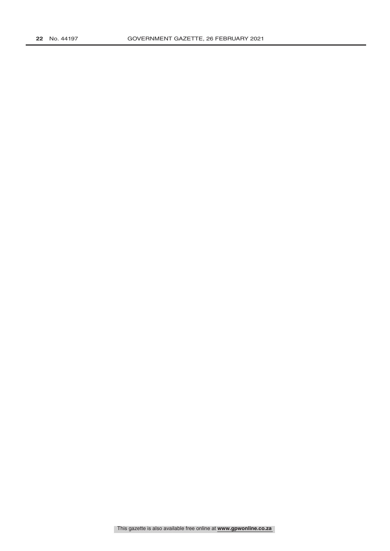This gazette is also available free online at **www.gpwonline.co.za**